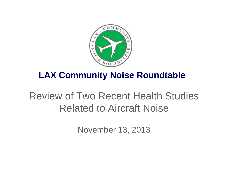

## **LAX Community Noise Roundtable**

## Review of Two Recent Health Studies Related to Aircraft Noise

November 13, 2013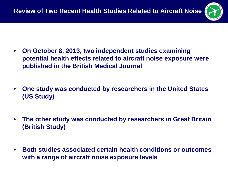

- **On October 8, 2013, two independent studies examining potential health effects related to aircraft noise exposure were published in the British Medical Journal**
- **One study was conducted by researchers in the United States (US Study)**
- **The other study was conducted by researchers in Great Britain (British Study)**
- **Both studies associated certain health conditions or outcomes with a range of aircraft noise exposure levels**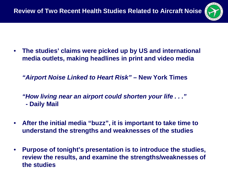

• **The studies' claims were picked up by US and international media outlets, making headlines in print and video media**

*"Airport Noise Linked to Heart Risk"* **– New York Times**

*"How living near an airport could shorten your life . . ."*  **- Daily Mail**

- **After the initial media "buzz", it is important to take time to understand the strengths and weaknesses of the studies**
- **Purpose of tonight's presentation is to introduce the studies, review the results, and examine the strengths/weaknesses of the studies**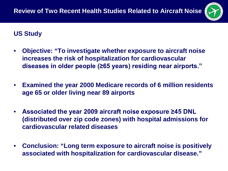

#### **US Study**

- **Objective: "To investigate whether exposure to aircraft noise increases the risk of hospitalization for cardiovascular diseases in older people (≥65 years) residing near airports."**
- **Examined the year 2000 Medicare records of 6 million residents age 65 or older living near 89 airports**
- **Associated the year 2009 aircraft noise exposure ≥45 DNL (distributed over zip code zones) with hospital admissions for cardiovascular related diseases**
- **Conclusion: "Long term exposure to aircraft noise is positively associated with hospitalization for cardiovascular disease."**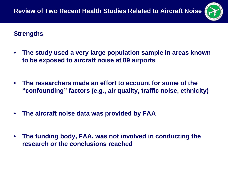

#### **Strengths**

- **The study used a very large population sample in areas known to be exposed to aircraft noise at 89 airports**
- **The researchers made an effort to account for some of the "confounding" factors (e.g., air quality, traffic noise, ethnicity)**
- **The aircraft noise data was provided by FAA**
- **The funding body, FAA, was not involved in conducting the research or the conclusions reached**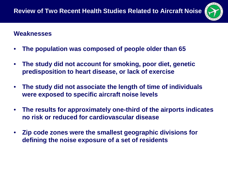

#### **Weaknesses**

- **The population was composed of people older than 65**
- **The study did not account for smoking, poor diet, genetic predisposition to heart disease, or lack of exercise**
- **The study did not associate the length of time of individuals were exposed to specific aircraft noise levels**
- **The results for approximately one-third of the airports indicates no risk or reduced for cardiovascular disease**
- **Zip code zones were the smallest geographic divisions for defining the noise exposure of a set of residents**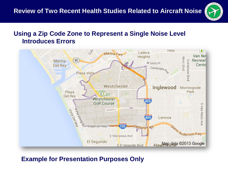

#### **Using a Zip Code Zone to Represent a Single Noise Level [Introduces Errors](http://maps.google.com/maps?bav=on.2,or.&biw=830&bih=368&bvm=pv.xjs.s.en_US.xTHDqTyMTwg.O&wrapid=tlif138431642432911&q=90045+zip+code+map&um=1&ie=UTF-8&hq=&hnear=0x80c2b0d1143d0e13:0xc13c03c655b86998,Los+Angeles,+CA+90045&gl=us&sa=X&ei=cv6CUsO9DOn6iwK5t4CIDA&ved=0CCkQ8gEwAA)**



#### **Example for Presentation Purposes Only**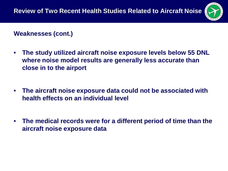

#### **Weaknesses (cont.)**

- **The study utilized aircraft noise exposure levels below 55 DNL where noise model results are generally less accurate than close in to the airport**
- **The aircraft noise exposure data could not be associated with health effects on an individual level**
- **The medical records were for a different period of time than the aircraft noise exposure data**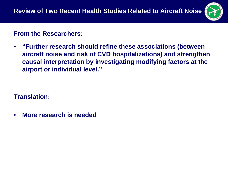

#### **From the Researchers:**

• **"Further research should refine these associations (between aircraft noise and risk of CVD hospitalizations) and strengthen causal interpretation by investigating modifying factors at the airport or individual level."**

#### **Translation:**

• **More research is needed**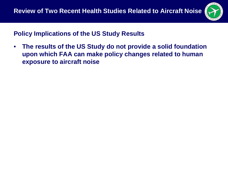

#### **Policy Implications of the US Study Results**

• **The results of the US Study do not provide a solid foundation upon which FAA can make policy changes related to human exposure to aircraft noise**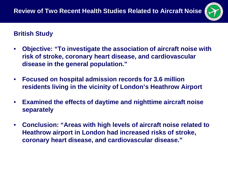

#### **British Study**

- **Objective: "To investigate the association of aircraft noise with risk of stroke, coronary heart disease, and cardiovascular disease in the general population."**
- **Focused on hospital admission records for 3.6 million residents living in the vicinity of London's Heathrow Airport**
- **Examined the effects of daytime and nighttime aircraft noise separately**
- **Conclusion: "Areas with high levels of aircraft noise related to Heathrow airport in London had increased risks of stroke, coronary heart disease, and cardiovascular disease."**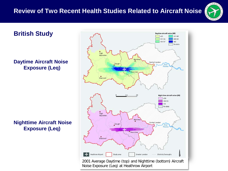### **Review of Two Recent Health Studies Related to Aircraft Noise**



#### **British Study**

#### **Daytime Aircraft Noise Exposure (Leq)**

#### **Nighttime Aircraft Noise Exposure (Leq)**

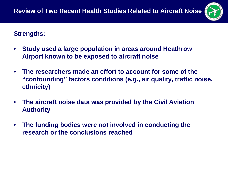

### **Strengths:**

- **Study used a large population in areas around Heathrow Airport known to be exposed to aircraft noise**
- **The researchers made an effort to account for some of the "confounding" factors conditions (e.g., air quality, traffic noise, ethnicity)**
- **The aircraft noise data was provided by the Civil Aviation Authority**
- **The funding bodies were not involved in conducting the research or the conclusions reached**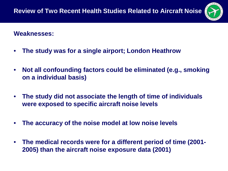

#### **Weaknesses:**

- **The study was for a single airport; London Heathrow**
- **Not all confounding factors could be eliminated (e.g., smoking on a individual basis)**
- **The study did not associate the length of time of individuals were exposed to specific aircraft noise levels**
- **The accuracy of the noise model at low noise levels**
- **The medical records were for a different period of time (2001- 2005) than the aircraft noise exposure data (2001)**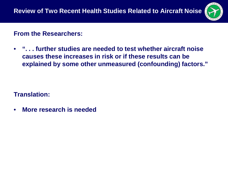

#### **From the Researchers:**

• **". . . further studies are needed to test whether aircraft noise causes these increases in risk or if these results can be explained by some other unmeasured (confounding) factors."**

**Translation:**

• **More research is needed**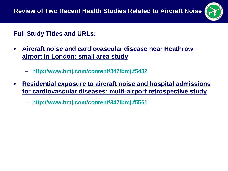

#### **Full Study Titles and URLs:**

- **Aircraft noise and cardiovascular disease near Heathrow airport in London: small area study**
	- **[http://www.bmj.com/content/347/bmj.f5432](http://www.bmj.com/content/347/bmj.f5561)**
- **Residential exposure to aircraft noise and hospital admissions for cardiovascular diseases: multi-airport retrospective study**
	- **<http://www.bmj.com/content/347/bmj.f5561>**